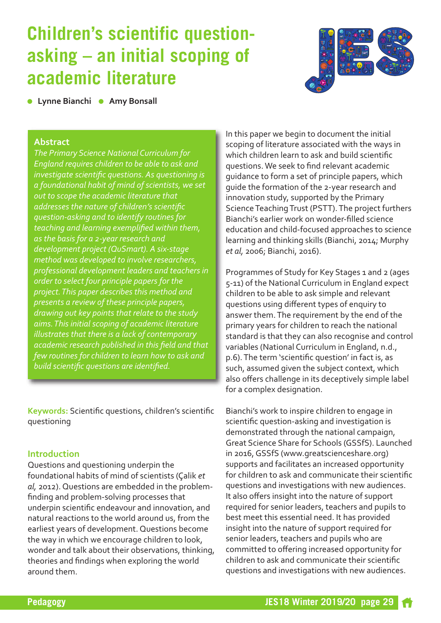# **Children's scientific questionasking – an initial scoping of academic literature**



*<b>C* Lynne Bianchi **a** Amy Bonsall **Correial lists in the State of Amy** Bonsall

## **Abstract**

*The Primary Science National Curriculum for England requires children to be able to ask and investigate scientific questions. As questioning is a foundational habit of mind of scientists, we set out to scope the academic literature that addresses the nature of children's scientific question-asking and to identify routines for teaching and learning exemplified within them, as the basis for a 2-year research and development project (QuSmart). A six-stage method was developed to involve researchers, professional development leaders and teachers in order to select four principle papers for the project.This paper describes this method and presents a review of these principle papers, drawing out key points that relate to the study aims.This initial scoping of academic literature illustrates that there is a lack of contemporary academic research published in this field and that few routines for children to learn how to ask and build scientific questions are identified.*

**Keywords:** Scientific questions, children's scientific questioning

## **Introduction**

Questions and questioning underpin the foundational habits of mind of scientists (Çalik *et al,* 2012). Questions are embedded in the problemfinding and problem-solving processes that underpin scientific endeavour and innovation, and natural reactions to the world around us, from the earliest years of development. Questions become the way in which we encourage children to look, wonder and talk about their observations, thinking, theories and findings when exploring the world around them.

In this paper we begin to document the initial scoping of literature associated with the ways in which children learn to ask and build scientific questions.We seek to find relevant academic guidance to form a set of principle papers, which guide the formation of the 2-year research and innovation study, supported by the Primary Science Teaching Trust (PSTT). The project furthers Bianchi's earlier work on wonder-filled science education and child-focused approaches to science learning and thinking skills (Bianchi, 2014; Murphy *et al,* 2006; Bianchi, 2016).

Programmes of Study for Key Stages 1 and 2 (ages 5-11) of the National Curriculum in England expect children to be able to ask simple and relevant questions using different types of enquiry to answer them.The requirement by the end of the primary years for children to reach the national standard is that they can also recognise and control variables (National Curriculum in England, n.d., p.6).The term 'scientific question' in fact is, as such, assumed given the subject context, which also offers challenge in its deceptively simple label for a complex designation.

Bianchi's work to inspire children to engage in scientific question-asking and investigation is demonstrated through the national campaign, Great Science Share for Schools (GSSfS). Launched in 2016,GSSfS ([www.greatscienceshare.org\)](http://www.greatscienceshare.org) supports and facilitates an increased opportunity for children to ask and communicate their scientific questions and investigations with new audiences. It also offers insight into the nature of support required for senior leaders, teachers and pupils to best meet this essential need. It has provided insight into the nature of support required for senior leaders, teachers and pupils who are committed to offering increased opportunity for children to ask and communicate their scientific questions and investigations with new audiences.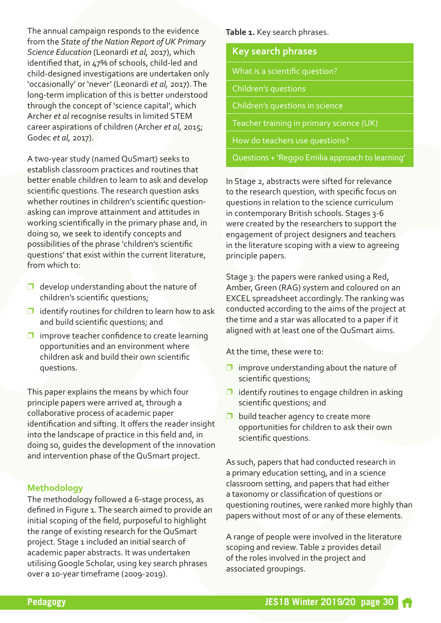The annual campaign responds to the evidence from the *State of the Nation Report ofUK Primary Science Education* (Leonardi *et al,* 2017), which identified that, in 47% of schools, child-led and child-designed investigations are undertaken only 'occasionally' or 'never' (Leonardi *et al,* 2017).The long-term implication of this is better understood through the concept of 'science capital', which Archer *et al* recognise results in limited STEM career aspirations of children (Archer *et al,* 2015; Godec *et al,* 2017).

A two-year study (named QuSmart) seeks to establish classroom practices and routines that better enable children to learn to ask and develop scientific questions.The research question asks whether routines in children's scientific questionasking can improve attainment and attitudes in working scientifically in the primary phase and, in doing so, we seek to identify concepts and possibilities of the phrase 'children's scientific questions' that exist within the current literature, from which to:

- $\Box$  develop understanding about the nature of children's scientific questions;
- $\Box$  identify routines for children to learn how to ask and build scientific questions; and
- $\Box$  improve teacher confidence to create learning opportunities and an environment where children ask and build their own scientific questions.

This paper explains the means by which four principle papers were arrived at, through a collaborative process of academic paper identification and sifting. It offers the reader insight into the landscape of practice in this field and, in doing so, guides the development of the innovation and intervention phase of the QuSmart project.

## **Methodology**

The methodology followed a 6-stage process, as defined in Figure 1. The search aimed to provide an initial scoping of the field, purposeful to highlight the range of existing research for the QuSmart project. Stage 1 included an initial search of academic paper abstracts. It was undertaken utilisingGoogle Scholar, using key search phrases over a 10-year timeframe (2009-2019).

**Table 1.** Key search phrases.

|  | <b>Key search phrases</b> |  |
|--|---------------------------|--|
|--|---------------------------|--|

What is a scientific question?

Children's questions

Children's questions in science

Teacher training in primary science (UK)

How do teachers use questions?

Questions + 'Reggio Emilia approach to learning'

In Stage 2, abstracts were sifted for relevance to the research question, with specific focus on questions in relation to the science curriculum in contemporary British schools. Stages 3-6 were created by the researchers to support the engagement of project designers and teachers in the literature scoping with a view to agreeing principle papers.

Stage 3: the papers were ranked using a Red, Amber, Green (RAG) system and coloured on an EXCEL spreadsheet accordingly.The ranking was conducted according to the aims of the project at the time and a star was allocated to a paper if it aligned with at least one of the QuSmart aims.

At the time, these were to:

- $\Box$  improve understanding about the nature of scientific questions;
- $\Box$  identify routines to engage children in asking scientific questions; and
- $\Box$  build teacher agency to create more opportunities for children to ask their own scientific questions.

As such, papers that had conducted research in a primary education setting, and in a science classroom setting, and papers that had either a taxonomy or classification of questions or questioning routines, were ranked more highly than papers without most of or any of these elements.

A range of people were involved in the literature scoping and review.Table 2 provides detail of the roles involved in the project and associated groupings.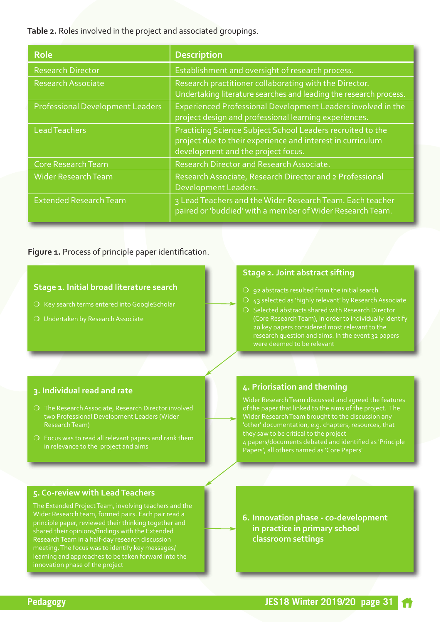**Table 2.** Roles involved in the project and associated groupings.

| <b>Role</b>                             | <b>Description</b>                                                                                                                                             |
|-----------------------------------------|----------------------------------------------------------------------------------------------------------------------------------------------------------------|
| <b>Research Director</b>                | Establishment and oversight of research process.                                                                                                               |
| <b>Research Associate</b>               | Research practitioner collaborating with the Director.<br>Undertaking literature searches and leading the research process.                                    |
| <b>Professional Development Leaders</b> | Experienced Professional Development Leaders involved in the<br>project design and professional learning experiences.                                          |
| <b>Lead Teachers</b>                    | Practicing Science Subject School Leaders recruited to the<br>project due to their experience and interest in curriculum<br>development and the project focus. |
| <b>Core Research Team</b>               | Research Director and Research Associate.                                                                                                                      |
| Wider Research Team                     | Research Associate, Research Director and 2 Professional<br>Development Leaders.                                                                               |
| <b>Extended Research Team</b>           | 3 Lead Teachers and the Wider Research Team. Each teacher<br>paired or 'buddied' with a member of Wider Research Team.                                         |

## **Figure 1.** Process of principle paper identification.

#### **Stage 1. Initial broad literature search**

- $\overline{O}$  Key search terms entered into GoogleScholar
- 

#### **Stage 2. Joint abstract sifting**

- 
- $O$  43 selected as 'highly relevant' by Research Associate
- $\bigcirc$  Selected abstracts shared with Research Director 20 key papers considered most relevant to the research question and aims. In the event 32 papers

#### **3. Individual read and rate**

- $\overline{O}$  The Research Associate, Research Director involved two Professional Development Leaders (Wider
- $\overline{O}$  Focus was to read all relevant papers and rank them in relevance to the project and aims

## **5. Co-review with LeadTeachers**

The Extended Project Team, involving teachers and the principle paper, reviewed their thinking together and shared their opinions/findings with the Extended ResearchTeam in a half-day research discussion meeting.The focus was to identify key messages/ learning and approaches to be taken forward into the innovation phase of the project

## **4. Priorisation and theming**

Wider Research Team discussed and agreed the features of the paper that linked to the aims of the project. The Wider Research Team brought to the discussion any 'other' documentation, e.g. chapters, resources, that they saw to be critical to the project 4 papers/documents debated and identified as 'Principle Papers', all others named as 'Core Papers'

**6. Innovation phase - co-development in practice in primary school classroom settings**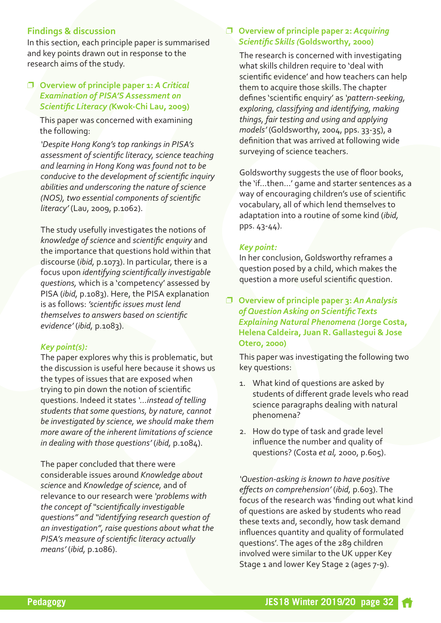# **Findings & discussion**

In this section, each principle paper is summarised and key points drawn out in response to the research aims of the study.

# p **Overview of principle paper 1:** *A Critical Examination of PISA'S Assessment on Scientific Literacy (***Kwok-Chi Lau, 2009)**

This paper was concerned with examining the following:

*'Despite Hong Kong's top rankings in PISA's assessment of scientific literacy, science teaching and learning in Hong Kong was found not to be conducive to the development of scientific inquiry abilities and underscoring the nature of science (NOS), two essential components of scientific literacy'* (Lau, 2009, p.1062).

The study usefully investigates the notions of *knowledge of science* and *scientific enquiry* and the importance that questions hold within that discourse (*ibid,* p.1073). In particular, there is a focus upon *identifying scientifically investigable questions,* which is a 'competency' assessed by PISA (*ibid,* p.1083). Here, the PISA explanation is as follows: *'scientific issues must lend themselves to answers based on scientific evidence'* (*ibid,* p.1083).

#### *Key point(s):*

The paper explores why this is problematic, but the discussion is useful here because it shows us the types of issues that are exposed when trying to pin down the notion of scientific questions. Indeed it states *'…instead of telling students that some questions, by nature, cannot be investigated by science, we should make them more aware of the inherent limitations of science in dealing with those questions'* (*ibid,* p.1084).

The paper concluded that there were considerable issues around *Knowledge about science* and *Knowledge of science,* and of relevance to our research were *'problems with the concept of "scientifically investigable questions" and "identifying research question of an investigation", raise questions about what the PISA's measure of scientific literacy actually means'* (*ibid,* p.1086).

## p **Overview of principle paper 2:** *Acquiring Scientific Skills (***Goldsworthy, 2000)**

The research is concerned with investigating what skills children require to 'deal with scientific evidence' and how teachers can help them to acquire those skills.The chapter defines 'scientific enquiry' as *'pattern-seeking, exploring, classifying and identifying, making things, fair testing and using and applying models'* (Goldsworthy, 2004, pps. 33-35), a definition that was arrived at following wide surveying of science teachers.

Goldsworthy suggests the use of floor books, the 'if…then…' game and starter sentences as a way of encouraging children's use of scientific vocabulary, all of which lend themselves to adaptation into a routine of some kind (*ibid,* pps. 43-44).

#### *Key point:*

In her conclusion, Goldsworthy reframes a question posed by a child, which makes the question a more useful scientific question.

p **Overview of principle paper 3:** *An Analysis of Question Asking on ScientificTexts Explaining Natural Phenomena (***Jorge Costa, Helena Caldeira, Juan R.Gallastegui & Jose Otero, 2000)**

This paper was investigating the following two key questions:

- 1. What kind of questions are asked by students of different grade levels who read science paragraphs dealing with natural phenomena?
- 2. How do type of task and grade level influence the number and quality of questions? (Costa *et al,* 2000, p.605).

*'Question-asking is known to have positive effects on comprehension'* (*ibid,* p.603).The focus of the research was 'finding out what kind of questions are asked by students who read these texts and, secondly, how task demand influences quantity and quality of formulated questions'.The ages of the 289 children involved were similar to the UK upper Key Stage 1 and lower Key Stage 2 (ages 7-9).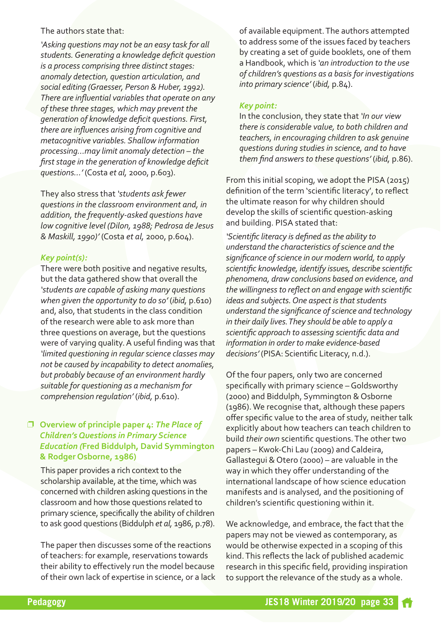#### The authors state that:

*'Asking questions may not be an easy task for all students.Generating a knowledge deficit question is* a *process comprising three distinct stages: anomaly detection, question articulation, and social editing (Graesser, Person & Huber, 1992). There are influential variablesthat operate on any of these three stages, which may prevent the generation of knowledge deficit questions. First, there are influences arising from cognitive and metacognitive variables. Shallow information processing…may limit anomaly detection – the first stage in the generation of knowledge deficit questions…'* (Costa *et al,* 2000, p.603).

They also stress that *'students ask fewer questions in the classroom environment and, in addition, the frequently-asked questions have low cognitive level (Dilon, 1988; Pedrosa de Jesus & Maskill, 1990)'* (Costa *et al,* 2000, p.604).

## *Key point(s):*

There were both positive and negative results, but the data gathered show that overall the *'students are capable of asking many questions when given the opportunity to do so'* (*ibid,* p.610) and, also, that students in the class condition of the research were able to ask more than three questions on average, but the questions were of varying quality. A useful finding was that *'limited questioning in regularscience classes may not be caused by incapability to detect anomalies, but probably because of an environment hardly suitable for questioning as a mechanism for comprehension regulation'* (*ibid,* p.610).

# p **Overview of principle paper 4:** *The Place of Children's Questions in Primary Science Education (***Fred Biddulph, David Symmington & Rodger Osborne, 1986)**

This paper provides a rich context to the scholarship available, at the time, which was concerned with children asking questions in the classroom and how those questions related to primary science, specifically the ability of children to ask good questions (Biddulph *et al,* 1986, p.78).

The paper then discusses some of the reactions of teachers: for example, reservations towards their ability to effectively run the model because of their own lack of expertise in science, or a lack of available equipment.The authors attempted to address some of the issues faced by teachers by creating a set of guide booklets, one of them a Handbook, which is *'an introduction to the use of children's questions as a basisfor investigations into primary science'* (*ibid,* p.84).

## *Key point:*

In the conclusion, they state that *'In our view there is considerable value, to both children and teachers, in encouraging children to ask genuine questions during studies in science, and to have them find answersto these questions'* (*ibid,* p.86).

From this initial scoping, we adopt the PISA (2015) definition of the term 'scientific literacy', to reflect the ultimate reason for why children should develop the skills of scientific question-asking and building. PISA stated that:

*'Scientific literacy is defined asthe ability to understand the characteristics ofscience and the significance ofscience in our modern world, to apply scientific knowledge, identify issues, describe scientific phenomena, draw conclusions based on evidence, and the willingnessto reflect on and engage with scientific ideas* and *subjects.* One aspect *is that students understand the significance ofscience and technology in their daily lives.They should be able to apply a scientific approach to assessing scientific data and information in order to make evidence-based decisions'* (PISA: Scientific Literacy, n.d.).

Of the four papers, only two are concerned specifically with primary science –Goldsworthy (2000) and Biddulph, Symmington & Osborne (1986).We recognise that, although these papers offer specific value to the area of study, neither talk explicitly about how teachers can teach children to build *their own* scientific questions.The other two papers – Kwok-Chi Lau (2009) and Caldeira, Gallastegui & Otero (2000) – are valuable in the way in which they offer understanding of the international landscape of how science education manifests and is analysed, and the positioning of children's scientific questioning within it.

We acknowledge, and embrace, the fact that the papers may not be viewed as contemporary, as would be otherwise expected in a scoping of this kind.This reflects the lack of published academic research in this specific field, providing inspiration to support the relevance of the study as a whole.